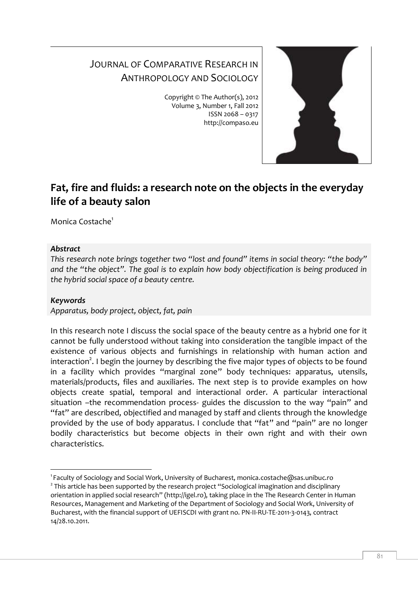# JOURNAL OF COMPARATIVE RESEARCH IN ANTHROPOLOGY AND SOCIOLOGY

Copyright © The Author(s), 2012 Volume 3, Number 1, Fall 2012 ISSN 2068 – 0317 http://compaso.eu



# **Fat, fire and fluids: a research note on the objects in the everyday life of a beauty salon**

Monica Costache<sup>1</sup>

## *Abstract*

*This research note brings together two "lost and found" items in social theory: "the body" and the "the object". The goal is to explain how body objectification is being produced in the hybrid social space of a beauty centre.* 

# *Keywords*

-

*Apparatus, body project, object, fat, pain* 

In this research note I discuss the social space of the beauty centre as a hybrid one for it cannot be fully understood without taking into consideration the tangible impact of the existence of various objects and furnishings in relationship with human action and interaction<sup>2</sup>. I begin the journey by describing the five major types of objects to be found in a facility which provides "marginal zone" body techniques: apparatus, utensils, materials/products, files and auxiliaries. The next step is to provide examples on how objects create spatial, temporal and interactional order. A particular interactional situation –the recommendation process- guides the discussion to the way "pain" and "fat" are described, objectified and managed by staff and clients through the knowledge provided by the use of body apparatus. I conclude that "fat" and "pain" are no longer bodily characteristics but become objects in their own right and with their own characteristics.

<sup>1</sup> Faculty of Sociology and Social Work, University of Bucharest, monica.costache@sas.unibuc.ro  $^2$  This article has been supported by the research project "Sociological imagination and disciplinary orientation in applied social research" (http://igel.ro), taking place in the The Research Center in Human Resources, Management and Marketing of the Department of Sociology and Social Work, University of Bucharest, with the financial support of UEFISCDI with grant no. PN-II-RU-TE-2011-3-0143, contract 14/28.10.2011.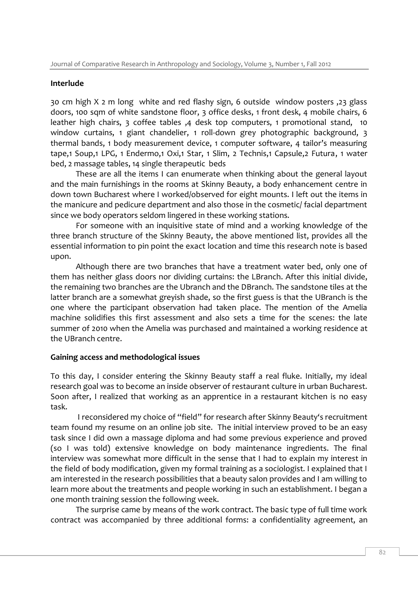#### **Interlude**

30 cm high X 2 m long white and red flashy sign, 6 outside window posters ,23 glass doors, 100 sqm of white sandstone floor, 3 office desks, 1 front desk, 4 mobile chairs, 6 leather high chairs, 3 coffee tables ,4 desk top computers, 1 promotional stand, 10 window curtains, 1 giant chandelier, 1 roll-down grey photographic background, 3 thermal bands, 1 body measurement device, 1 computer software, 4 tailor's measuring tape,1 Soup,1 LPG, 1 Endermo,1 Oxi,1 Star, 1 Slim, 2 Technis,1 Capsule,2 Futura, 1 water bed, 2 massage tables, 14 single therapeutic beds

These are all the items I can enumerate when thinking about the general layout and the main furnishings in the rooms at Skinny Beauty, a body enhancement centre in down town Bucharest where I worked/observed for eight mounts. I left out the items in the manicure and pedicure department and also those in the cosmetic/ facial department since we body operators seldom lingered in these working stations.

For someone with an inquisitive state of mind and a working knowledge of the three branch structure of the Skinny Beauty, the above mentioned list, provides all the essential information to pin point the exact location and time this research note is based upon.

Although there are two branches that have a treatment water bed, only one of them has neither glass doors nor dividing curtains: the LBranch. After this initial divide, the remaining two branches are the Ubranch and the DBranch. The sandstone tiles at the latter branch are a somewhat greyish shade, so the first guess is that the UBranch is the one where the participant observation had taken place. The mention of the Amelia machine solidifies this first assessment and also sets a time for the scenes: the late summer of 2010 when the Amelia was purchased and maintained a working residence at the UBranch centre.

## **Gaining access and methodological issues**

To this day, I consider entering the Skinny Beauty staff a real fluke. Initially, my ideal research goal was to become an inside observer of restaurant culture in urban Bucharest. Soon after, I realized that working as an apprentice in a restaurant kitchen is no easy task.

I reconsidered my choice of "field" for research after Skinny Beauty's recruitment team found my resume on an online job site. The initial interview proved to be an easy task since I did own a massage diploma and had some previous experience and proved (so I was told) extensive knowledge on body maintenance ingredients. The final interview was somewhat more difficult in the sense that I had to explain my interest in the field of body modification, given my formal training as a sociologist. I explained that I am interested in the research possibilities that a beauty salon provides and I am willing to learn more about the treatments and people working in such an establishment. I began a one month training session the following week.

The surprise came by means of the work contract. The basic type of full time work contract was accompanied by three additional forms: a confidentiality agreement, an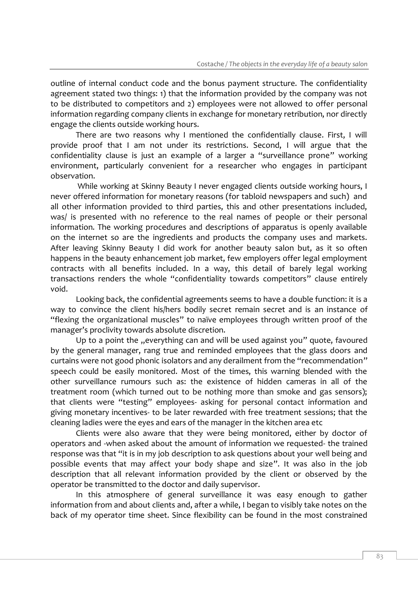outline of internal conduct code and the bonus payment structure. The confidentiality agreement stated two things: 1) that the information provided by the company was not to be distributed to competitors and 2) employees were not allowed to offer personal information regarding company clients in exchange for monetary retribution, nor directly engage the clients outside working hours.

There are two reasons why I mentioned the confidentially clause. First, I will provide proof that I am not under its restrictions. Second, I will argue that the confidentiality clause is just an example of a larger a "surveillance prone" working environment, particularly convenient for a researcher who engages in participant observation.

While working at Skinny Beauty I never engaged clients outside working hours, I never offered information for monetary reasons (for tabloid newspapers and such) and all other information provided to third parties, this and other presentations included, was/ is presented with no reference to the real names of people or their personal information. The working procedures and descriptions of apparatus is openly available on the internet so are the ingredients and products the company uses and markets. After leaving Skinny Beauty I did work for another beauty salon but, as it so often happens in the beauty enhancement job market, few employers offer legal employment contracts with all benefits included. In a way, this detail of barely legal working transactions renders the whole "confidentiality towards competitors" clause entirely void.

Looking back, the confidential agreements seems to have a double function: it is a way to convince the client his/hers bodily secret remain secret and is an instance of "flexing the organizational muscles" to naïve employees through written proof of the manager's proclivity towards absolute discretion.

Up to a point the "everything can and will be used against you" quote, favoured by the general manager, rang true and reminded employees that the glass doors and curtains were not good phonic isolators and any derailment from the "recommendation" speech could be easily monitored. Most of the times, this warning blended with the other surveillance rumours such as: the existence of hidden cameras in all of the treatment room (which turned out to be nothing more than smoke and gas sensors); that clients were "testing" employees- asking for personal contact information and giving monetary incentives- to be later rewarded with free treatment sessions; that the cleaning ladies were the eyes and ears of the manager in the kitchen area etc

Clients were also aware that they were being monitored, either by doctor of operators and -when asked about the amount of information we requested- the trained response was that "it is in my job description to ask questions about your well being and possible events that may affect your body shape and size". It was also in the job description that all relevant information provided by the client or observed by the operator be transmitted to the doctor and daily supervisor.

In this atmosphere of general surveillance it was easy enough to gather information from and about clients and, after a while, I began to visibly take notes on the back of my operator time sheet. Since flexibility can be found in the most constrained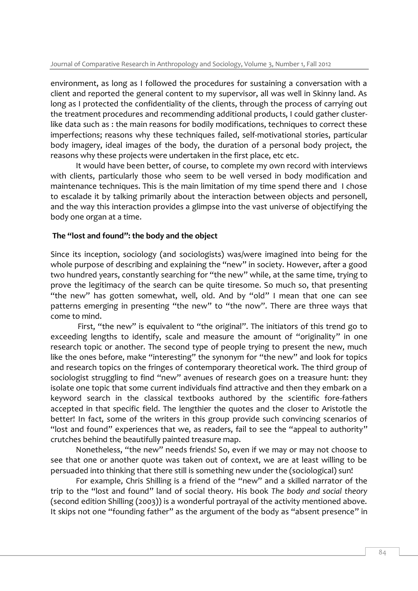environment, as long as I followed the procedures for sustaining a conversation with a client and reported the general content to my supervisor, all was well in Skinny land. As long as I protected the confidentiality of the clients, through the process of carrying out the treatment procedures and recommending additional products, I could gather clusterlike data such as : the main reasons for bodily modifications, techniques to correct these imperfections; reasons why these techniques failed, self-motivational stories, particular body imagery, ideal images of the body, the duration of a personal body project, the reasons why these projects were undertaken in the first place, etc etc.

It would have been better, of course, to complete my own record with interviews with clients, particularly those who seem to be well versed in body modification and maintenance techniques. This is the main limitation of my time spend there and I chose to escalade it by talking primarily about the interaction between objects and personell, and the way this interaction provides a glimpse into the vast universe of objectifying the body one organ at a time.

## **The "lost and found": the body and the object**

Since its inception, sociology (and sociologists) was/were imagined into being for the whole purpose of describing and explaining the "new" in society. However, after a good two hundred years, constantly searching for "the new" while, at the same time, trying to prove the legitimacy of the search can be quite tiresome. So much so, that presenting "the new" has gotten somewhat, well, old. And by "old" I mean that one can see patterns emerging in presenting "the new" to "the now". There are three ways that come to mind.

First, "the new" is equivalent to "the original". The initiators of this trend go to exceeding lengths to identify, scale and measure the amount of "originality" in one research topic or another. The second type of people trying to present the new, much like the ones before, make "interesting" the synonym for "the new" and look for topics and research topics on the fringes of contemporary theoretical work. The third group of sociologist struggling to find "new" avenues of research goes on a treasure hunt: they isolate one topic that some current individuals find attractive and then they embark on a keyword search in the classical textbooks authored by the scientific fore-fathers accepted in that specific field. The lengthier the quotes and the closer to Aristotle the better! In fact, some of the writers in this group provide such convincing scenarios of "lost and found" experiences that we, as readers, fail to see the "appeal to authority" crutches behind the beautifully painted treasure map.

Nonetheless, "the new" needs friends! So, even if we may or may not choose to see that one or another quote was taken out of context, we are at least willing to be persuaded into thinking that there still is something new under the (sociological) sun!

For example, Chris Shilling is a friend of the "new" and a skilled narrator of the trip to the "lost and found" land of social theory. His book *The body and social theory* (second edition Shilling (2003)) is a wonderful portrayal of the activity mentioned above. It skips not one "founding father" as the argument of the body as "absent presence" in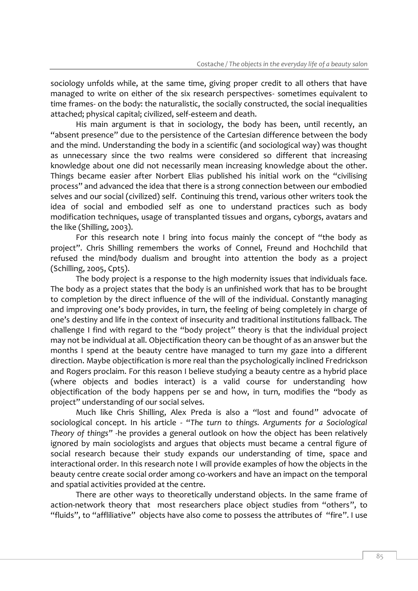sociology unfolds while, at the same time, giving proper credit to all others that have managed to write on either of the six research perspectives- sometimes equivalent to time frames- on the body: the naturalistic, the socially constructed, the social inequalities attached; physical capital; civilized, self-esteem and death.

His main argument is that in sociology, the body has been, until recently, an "absent presence" due to the persistence of the Cartesian difference between the body and the mind. Understanding the body in a scientific (and sociological way) was thought as unnecessary since the two realms were considered so different that increasing knowledge about one did not necessarily mean increasing knowledge about the other. Things became easier after Norbert Elias published his initial work on the "civilising process" and advanced the idea that there is a strong connection between our embodied selves and our social (civilized) self. Continuing this trend, various other writers took the idea of social and embodied self as one to understand practices such as body modification techniques, usage of transplanted tissues and organs, cyborgs, avatars and the like (Shilling, 2003).

For this research note I bring into focus mainly the concept of "the body as project". Chris Shilling remembers the works of Connel, Freund and Hochchild that refused the mind/body dualism and brought into attention the body as a project (Schilling, 2005, Cpt5).

The body project is a response to the high modernity issues that individuals face. The body as a project states that the body is an unfinished work that has to be brought to completion by the direct influence of the will of the individual. Constantly managing and improving one's body provides, in turn, the feeling of being completely in charge of one's destiny and life in the context of insecurity and traditional institutions fallback. The challenge I find with regard to the "body project" theory is that the individual project may not be individual at all. Objectification theory can be thought of as an answer but the months I spend at the beauty centre have managed to turn my gaze into a different direction. Maybe objectification is more real than the psychologically inclined Fredrickson and Rogers proclaim. For this reason I believe studying a beauty centre as a hybrid place (where objects and bodies interact) is a valid course for understanding how objectification of the body happens per se and how, in turn, modifies the "body as project" understanding of our social selves.

Much like Chris Shilling, Alex Preda is also a "lost and found" advocate of sociological concept. In his article - "*The turn to things. Arguments for a Sociological Theory of things"* -he provides a general outlook on how the object has been relatively ignored by main sociologists and argues that objects must became a central figure of social research because their study expands our understanding of time, space and interactional order. In this research note I will provide examples of how the objects in the beauty centre create social order among co-workers and have an impact on the temporal and spatial activities provided at the centre.

There are other ways to theoretically understand objects. In the same frame of action-network theory that most researchers place object studies from "others", to "fluids", to "affliliative" objects have also come to possess the attributes of "fire". I use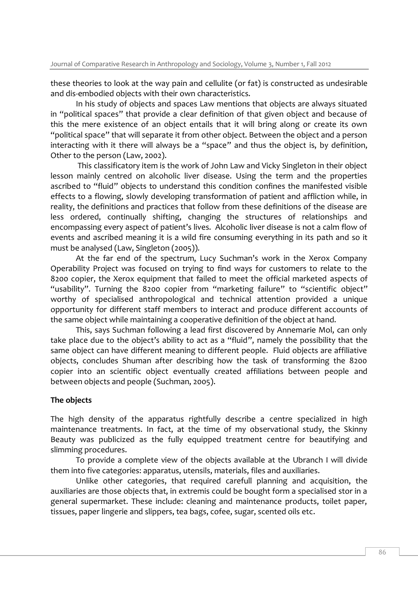these theories to look at the way pain and cellulite (or fat) is constructed as undesirable and dis-embodied objects with their own characteristics.

In his study of objects and spaces Law mentions that objects are always situated in "political spaces" that provide a clear definition of that given object and because of this the mere existence of an object entails that it will bring along or create its own "political space" that will separate it from other object. Between the object and a person interacting with it there will always be a "space" and thus the object is, by definition, Other to the person (Law, 2002).

This classificatory item is the work of John Law and Vicky Singleton in their object lesson mainly centred on alcoholic liver disease. Using the term and the properties ascribed to "fluid" objects to understand this condition confines the manifested visible effects to a flowing, slowly developing transformation of patient and affliction while, in reality, the definitions and practices that follow from these definitions of the disease are less ordered, continually shifting, changing the structures of relationships and encompassing every aspect of patient's lives. Alcoholic liver disease is not a calm flow of events and ascribed meaning it is a wild fire consuming everything in its path and so it must be analysed (Law, Singleton (2005)).

At the far end of the spectrum, Lucy Suchman's work in the Xerox Company Operability Project was focused on trying to find ways for customers to relate to the 8200 copier, the Xerox equipment that failed to meet the official marketed aspects of "usability". Turning the 8200 copier from "marketing failure" to "scientific object" worthy of specialised anthropological and technical attention provided a unique opportunity for different staff members to interact and produce different accounts of the same object while maintaining a cooperative definition of the object at hand.

This, says Suchman following a lead first discovered by Annemarie Mol, can only take place due to the object's ability to act as a "fluid", namely the possibility that the same object can have different meaning to different people. Fluid objects are affiliative objects, concludes Shuman after describing how the task of transforming the 8200 copier into an scientific object eventually created affiliations between people and between objects and people (Suchman, 2005).

## **The objects**

The high density of the apparatus rightfully describe a centre specialized in high maintenance treatments. In fact, at the time of my observational study, the Skinny Beauty was publicized as the fully equipped treatment centre for beautifying and slimming procedures.

To provide a complete view of the objects available at the Ubranch I will divide them into five categories: apparatus, utensils, materials, files and auxiliaries.

Unlike other categories, that required carefull planning and acquisition, the auxiliaries are those objects that, in extremis could be bought form a specialised stor in a general supermarket. These include: cleaning and maintenance products, toilet paper, tissues, paper lingerie and slippers, tea bags, cofee, sugar, scented oils etc.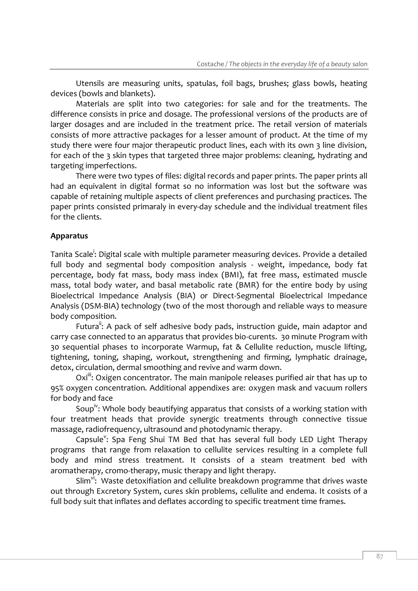Utensils are measuring units, spatulas, foil bags, brushes; glass bowls, heating devices (bowls and blankets).

Materials are split into two categories: for sale and for the treatments. The difference consists in price and dosage. The professional versions of the products are of larger dosages and are included in the treatment price. The retail version of materials consists of more attractive packages for a lesser amount of product. At the time of my study there were four major therapeutic product lines, each with its own 3 line division, for each of the 3 skin types that targeted three major problems: cleaning, hydrating and targeting imperfections.

There were two types of files: digital records and paper prints. The paper prints all had an equivalent in digital format so no information was lost but the software was capable of retaining multiple aspects of client preferences and purchasing practices. The paper prints consisted primaraly in every-day schedule and the individual treatment files for the clients.

# **Apparatus**

Tanita Scale<sup>i</sup>: Digital scale with multiple parameter measuring devices. Provide a detailed full body and segmental body composition analysis - weight, impedance, body fat percentage, body fat mass, body mass index (BMI), fat free mass, estimated muscle mass, total body water, and basal metabolic rate (BMR) for the entire body by using Bioelectrical Impedance Analysis (BIA) or Direct-Segmental Bioelectrical Impedance Analysis (DSM-BIA) technology (two of the most thorough and reliable ways to measure body composition.

Futura<sup>ii</sup>: A pack of self adhesive body pads, instruction guide, main adaptor and carry case connected to an apparatus that provides bio-curents. 30 minute Program with 30 sequential phases to incorporate Warmup, fat & Cellulite reduction, muscle lifting, tightening, toning, shaping, workout, strengthening and firming, lymphatic drainage, detox, circulation, dermal smoothing and revive and warm down.

 $Oxi^{iii}$ : Oxigen concentrator. The main manipole releases purified air that has up to 95% oxygen concentration. Additional appendixes are: oxygen mask and vacuum rollers for body and face

Soup<sup>iv</sup>: Whole body beautifying apparatus that consists of a working station with four treatment heads that provide synergic treatments through connective tissue massage, radiofrequency, ultrasound and photodynamic therapy.

Capsule<sup>y</sup>: Spa Feng Shui TM Bed that has several full body LED Light Therapy programs that range from relaxation to cellulite services resulting in a complete full body and mind stress treatment. It consists of a steam treatment bed with aromatherapy, cromo-therapy, music therapy and light therapy.

Slim<sup>vi</sup>: Waste detoxifiation and cellulite breakdown programme that drives waste out through Excretory System, cures skin problems, cellulite and endema. It cosists of a full body suit that inflates and deflates according to specific treatment time frames.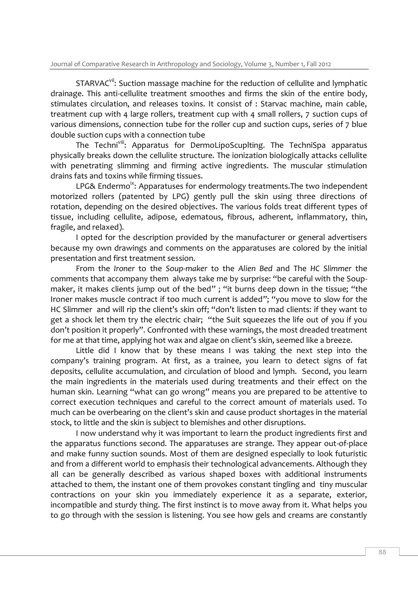STARVAC<sup>vii</sup>: Suction massage machine for the reduction of cellulite and lymphatic drainage. This anti-cellulite treatment smoothes and firms the skin of the entire body, stimulates circulation, and releases toxins. It consist of : Starvac machine, main cable, treatment cup with 4 large rollers, treatment cup with 4 small rollers, 7 suction cups of various dimensions, connection tube for the roller cup and suction cups, series of 7 blue double suction cups with a connection tube

The Techni<sup>viii</sup>: Apparatus for DermoLipoScuplting. The TechniSpa apparatus physically breaks down the cellulite structure. The ionization biologically attacks cellulite with penetrating slimming and firming active ingredients. The muscular stimulation drains fats and toxins while firming tissues.

LPG& Endermo<sup>ix</sup>: Apparatuses for endermology treatments. The two independent motorized rollers (patented by LPG) gently pull the skin using three directions of rotation, depending on the desired objectives. The various folds treat different types of tissue, including cellulite, adipose, edematous, fibrous, adherent, inflammatory, thin, fragile, and relaxed).

I opted for the description provided by the manufacturer or general advertisers because my own drawings and comments on the apparatuses are colored by the initial presentation and first treatment session.

From the *Ironer* to the *Soup-maker* to the *Alien Bed* and The *HC Slimmer* the comments that accompany them always take me by surprise: "be careful with the Soupmaker, it makes clients jump out of the bed"; "it burns deep down in the tissue; "the Ironer makes muscle contract if too much current is added"; "you move to slow for the HC Slimmer and will rip the client's skin off; "don't listen to mad clients: if they want to get a shock let them try the electric chair; "the Suit squeezes the life out of you if you don't position it properly". Confronted with these warnings, the most dreaded treatment for me at that time, applying hot wax and algae on client's skin, seemed like a breeze.

Little did I know that by these means I was taking the next step into the company's training program. At first, as a trainee, you learn to detect signs of fat deposits, cellulite accumulation, and circulation of blood and lymph. Second, you learn the main ingredients in the materials used during treatments and their effect on the human skin. Learning "what can go wrong" means you are prepared to be attentive to correct execution techniques and careful to the correct amount of materials used. To much can be overbearing on the client's skin and cause product shortages in the material stock, to little and the skin is subject to blemishes and other disruptions.

I now understand why it was important to learn the product ingredients first and the apparatus functions second. The apparatuses are strange. They appear out-of-place and make funny suction sounds. Most of them are designed especially to look futuristic and from a different world to emphasis their technological advancements. Although they all can be generally described as various shaped boxes with additional instruments attached to them, the instant one of them provokes constant tingling and tiny muscular contractions on your skin you immediately experience it as a separate, exterior, incompatible and sturdy thing. The first instinct is to move away from it. What helps you to go through with the session is listening. You see how gels and creams are constantly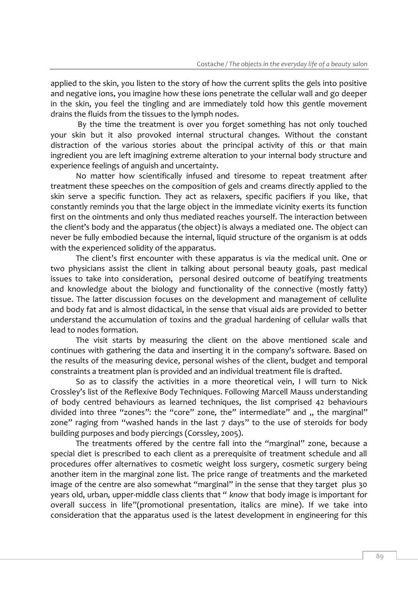applied to the skin, you listen to the story of how the current splits the gels into positive and negative ions, you imagine how these ions penetrate the cellular wall and go deeper in the skin, you feel the tingling and are immediately told how this gentle movement drains the fluids from the tissues to the lymph nodes.

By the time the treatment is over you forget something has not only touched your skin but it also provoked internal structural changes. Without the constant distraction of the various stories about the principal activity of this or that main ingredient you are left imagining extreme alteration to your internal body structure and experience feelings of anguish and uncertainty.

No matter how scientifically infused and tiresome to repeat treatment after treatment these speeches on the composition of gels and creams directly applied to the skin serve a specific function. They act as relaxers, specific pacifiers if you like, that constantly reminds you that the large object in the immediate vicinity exerts its function first on the ointments and only thus mediated reaches yourself. The interaction between the client's body and the apparatus (the object) is always a mediated one. The object can never be fully embodied because the internal, liquid structure of the organism is at odds with the experienced solidity of the apparatus.

The client's first encounter with these apparatus is via the medical unit. One or two physicians assist the client in talking about personal beauty goals, past medical issues to take into consideration, personal desired outcome of beatifying treatments and knowledge about the biology and functionality of the connective (mostly fatty) tissue. The latter discussion focuses on the development and management of cellulite and body fat and is almost didactical, in the sense that visual aids are provided to better understand the accumulation of toxins and the gradual hardening of cellular walls that lead to nodes formation.

The visit starts by measuring the client on the above mentioned scale and continues with gathering the data and inserting it in the company's software. Based on the results of the measuring device, personal wishes of the client, budget and temporal constraints a treatment plan is provided and an individual treatment file is drafted.

So as to classify the activities in a more theoretical vein, I will turn to Nick Crossley's list of the Reflexive Body Techniques. Following Marcell Mauss understanding of body centred behaviours as learned techniques, the list comprised 42 behaviours divided into three "zones": the "core" zone, the" intermediate" and ,, the marginal" zone" raging from "washed hands in the last 7 days" to the use of steroids for body building purposes and body piercings (Corssley, 2005).

The treatments offered by the centre fall into the "marginal" zone, because a special diet is prescribed to each client as a prerequisite of treatment schedule and all procedures offer alternatives to cosmetic weight loss surgery, cosmetic surgery being another item in the marginal zone list. The price range of treatments and the marketed image of the centre are also somewhat "marginal" in the sense that they target plus 30 years old, urban, upper-middle class clients that " *know* that body image is important for overall success in life"(promotional presentation, italics are mine). If we take into consideration that the apparatus used is the latest development in engineering for this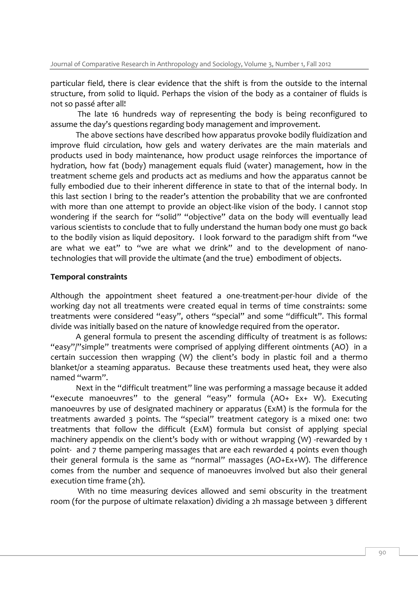particular field, there is clear evidence that the shift is from the outside to the internal structure, from solid to liquid. Perhaps the vision of the body as a container of fluids is not so passé after all!

The late 16 hundreds way of representing the body is being reconfigured to assume the day's questions regarding body management and improvement.

The above sections have described how apparatus provoke bodily fluidization and improve fluid circulation, how gels and watery derivates are the main materials and products used in body maintenance, how product usage reinforces the importance of hydration, how fat (body) management equals fluid (water) management, how in the treatment scheme gels and products act as mediums and how the apparatus cannot be fully embodied due to their inherent difference in state to that of the internal body. In this last section I bring to the reader's attention the probability that we are confronted with more than one attempt to provide an object-like vision of the body. I cannot stop wondering if the search for "solid" "objective" data on the body will eventually lead various scientists to conclude that to fully understand the human body one must go back to the bodily vision as liquid depository. I look forward to the paradigm shift from "we are what we eat" to "we are what we drink" and to the development of nanotechnologies that will provide the ultimate (and the true) embodiment of objects.

#### **Temporal constraints**

Although the appointment sheet featured a one-treatment-per-hour divide of the working day not all treatments were created equal in terms of time constraints: some treatments were considered "easy", others "special" and some "difficult". This formal divide was initially based on the nature of knowledge required from the operator.

A general formula to present the ascending difficulty of treatment is as follows: "easy"/"simple" treatments were comprised of applying different ointments (AO) in a certain succession then wrapping (W) the client's body in plastic foil and a thermo blanket/or a steaming apparatus. Because these treatments used heat, they were also named "warm".

Next in the "difficult treatment" line was performing a massage because it added "execute manoeuvres" to the general "easy" formula (AO+ Ex+ W). Executing manoeuvres by use of designated machinery or apparatus (ExM) is the formula for the treatments awarded 3 points. The "special" treatment category is a mixed one: two treatments that follow the difficult (ExM) formula but consist of applying special machinery appendix on the client's body with or without wrapping (W) -rewarded by 1 point- and 7 theme pampering massages that are each rewarded 4 points even though their general formula is the same as "normal" massages (AO+Ex+W). The difference comes from the number and sequence of manoeuvres involved but also their general execution time frame (2h).

With no time measuring devices allowed and semi obscurity in the treatment room (for the purpose of ultimate relaxation) dividing a 2h massage between 3 different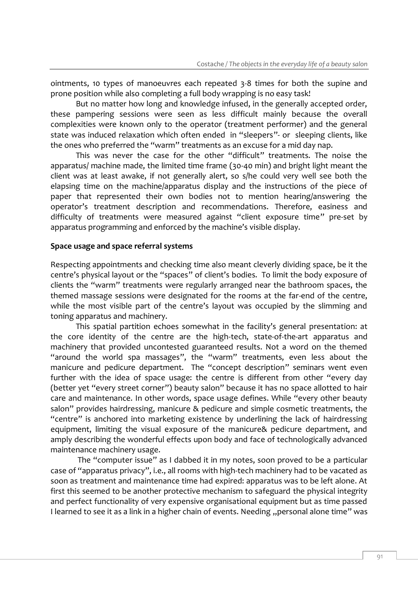ointments, 10 types of manoeuvres each repeated 3-8 times for both the supine and prone position while also completing a full body wrapping is no easy task!

But no matter how long and knowledge infused, in the generally accepted order, these pampering sessions were seen as less difficult mainly because the overall complexities were known only to the operator (treatment performer) and the general state was induced relaxation which often ended in "sleepers"- or sleeping clients, like the ones who preferred the "warm" treatments as an excuse for a mid day nap.

This was never the case for the other "difficult" treatments. The noise the apparatus/ machine made, the limited time frame (30-40 min) and bright light meant the client was at least awake, if not generally alert, so s/he could very well see both the elapsing time on the machine/apparatus display and the instructions of the piece of paper that represented their own bodies not to mention hearing/answering the operator's treatment description and recommendations. Therefore, easiness and difficulty of treatments were measured against "client exposure time" pre-set by apparatus programming and enforced by the machine's visible display.

#### **Space usage and space referral systems**

Respecting appointments and checking time also meant cleverly dividing space, be it the centre's physical layout or the "spaces" of client's bodies. To limit the body exposure of clients the "warm" treatments were regularly arranged near the bathroom spaces, the themed massage sessions were designated for the rooms at the far-end of the centre, while the most visible part of the centre's layout was occupied by the slimming and toning apparatus and machinery.

This spatial partition echoes somewhat in the facility's general presentation: at the core identity of the centre are the high-tech, state-of-the-art apparatus and machinery that provided uncontested guaranteed results. Not a word on the themed "around the world spa massages", the "warm" treatments, even less about the manicure and pedicure department. The "concept description" seminars went even further with the idea of space usage: the centre is different from other "every day (better yet "every street corner") beauty salon" because it has no space allotted to hair care and maintenance. In other words, space usage defines. While "every other beauty salon" provides hairdressing, manicure & pedicure and simple cosmetic treatments, the "centre" is anchored into marketing existence by underlining the lack of hairdressing equipment, limiting the visual exposure of the manicure& pedicure department, and amply describing the wonderful effects upon body and face of technologically advanced maintenance machinery usage.

The "computer issue" as I dabbed it in my notes, soon proved to be a particular case of "apparatus privacy", i.e., all rooms with high-tech machinery had to be vacated as soon as treatment and maintenance time had expired: apparatus was to be left alone. At first this seemed to be another protective mechanism to safeguard the physical integrity and perfect functionality of very expensive organisational equipment but as time passed I learned to see it as a link in a higher chain of events. Needing "personal alone time" was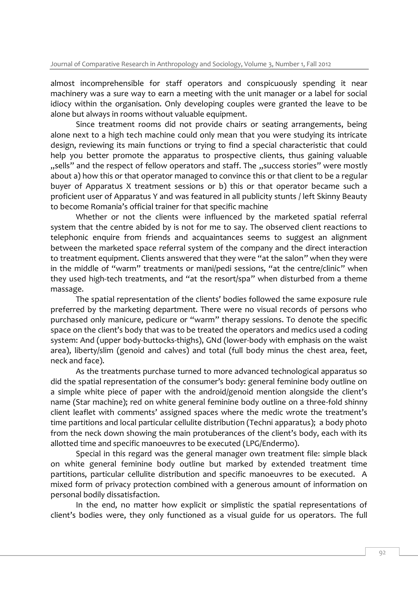almost incomprehensible for staff operators and conspicuously spending it near machinery was a sure way to earn a meeting with the unit manager or a label for social idiocy within the organisation. Only developing couples were granted the leave to be alone but always in rooms without valuable equipment.

Since treatment rooms did not provide chairs or seating arrangements, being alone next to a high tech machine could only mean that you were studying its intricate design, reviewing its main functions or trying to find a special characteristic that could help you better promote the apparatus to prospective clients, thus gaining valuable "sells" and the respect of fellow operators and staff. The "success stories" were mostly about a) how this or that operator managed to convince this or that client to be a regular buyer of Apparatus X treatment sessions or b) this or that operator became such a proficient user of Apparatus Y and was featured in all publicity stunts / left Skinny Beauty to become Romania's official trainer for that specific machine

Whether or not the clients were influenced by the marketed spatial referral system that the centre abided by is not for me to say. The observed client reactions to telephonic enquire from friends and acquaintances seems to suggest an alignment between the marketed space referral system of the company and the direct interaction to treatment equipment. Clients answered that they were "at the salon" when they were in the middle of "warm" treatments or mani/pedi sessions, "at the centre/clinic" when they used high-tech treatments, and "at the resort/spa" when disturbed from a theme massage.

The spatial representation of the clients' bodies followed the same exposure rule preferred by the marketing department. There were no visual records of persons who purchased only manicure, pedicure or "warm" therapy sessions. To denote the specific space on the client's body that was to be treated the operators and medics used a coding system: And (upper body-buttocks-thighs), GNd (lower-body with emphasis on the waist area), liberty/slim (genoid and calves) and total (full body minus the chest area, feet, neck and face).

As the treatments purchase turned to more advanced technological apparatus so did the spatial representation of the consumer's body: general feminine body outline on a simple white piece of paper with the android/genoid mention alongside the client's name (Star machine); red on white general feminine body outline on a three-fold shinny client leaflet with comments' assigned spaces where the medic wrote the treatment's time partitions and local particular cellulite distribution (Techni apparatus); a body photo from the neck down showing the main protuberances of the client's body, each with its allotted time and specific manoeuvres to be executed (LPG/Endermo).

Special in this regard was the general manager own treatment file: simple black on white general feminine body outline but marked by extended treatment time partitions, particular cellulite distribution and specific manoeuvres to be executed. A mixed form of privacy protection combined with a generous amount of information on personal bodily dissatisfaction.

In the end, no matter how explicit or simplistic the spatial representations of client's bodies were, they only functioned as a visual guide for us operators. The full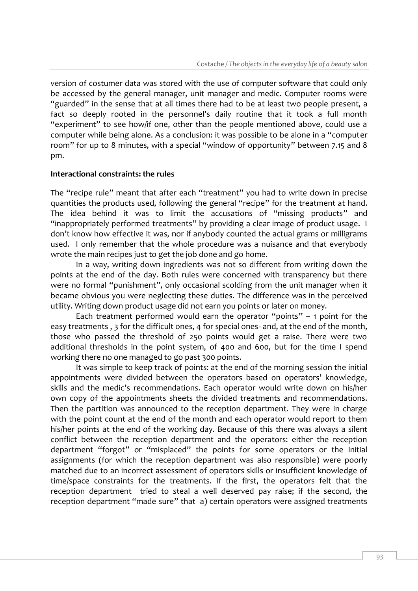version of costumer data was stored with the use of computer software that could only be accessed by the general manager, unit manager and medic. Computer rooms were "guarded" in the sense that at all times there had to be at least two people present, a fact so deeply rooted in the personnel's daily routine that it took a full month "experiment" to see how/if one, other than the people mentioned above, could use a computer while being alone. As a conclusion: it was possible to be alone in a "computer room" for up to 8 minutes, with a special "window of opportunity" between 7.15 and 8 pm.

#### **Interactional constraints: the rules**

The "recipe rule" meant that after each "treatment" you had to write down in precise quantities the products used, following the general "recipe" for the treatment at hand. The idea behind it was to limit the accusations of "missing products" and "inappropriately performed treatments" by providing a clear image of product usage. I don't know how effective it was, nor if anybody counted the actual grams or milligrams used. I only remember that the whole procedure was a nuisance and that everybody wrote the main recipes just to get the job done and go home.

In a way, writing down ingredients was not so different from writing down the points at the end of the day. Both rules were concerned with transparency but there were no formal "punishment", only occasional scolding from the unit manager when it became obvious you were neglecting these duties. The difference was in the perceived utility. Writing down product usage did not earn you points or later on money.

Each treatment performed would earn the operator "points"  $-$  1 point for the easy treatments , 3 for the difficult ones, 4 for special ones- and, at the end of the month, those who passed the threshold of 250 points would get a raise. There were two additional thresholds in the point system, of 400 and 600, but for the time I spend working there no one managed to go past 300 points.

It was simple to keep track of points: at the end of the morning session the initial appointments were divided between the operators based on operators' knowledge, skills and the medic's recommendations. Each operator would write down on his/her own copy of the appointments sheets the divided treatments and recommendations. Then the partition was announced to the reception department. They were in charge with the point count at the end of the month and each operator would report to them his/her points at the end of the working day. Because of this there was always a silent conflict between the reception department and the operators: either the reception department "forgot" or "misplaced" the points for some operators or the initial assignments (for which the reception department was also responsible) were poorly matched due to an incorrect assessment of operators skills or insufficient knowledge of time/space constraints for the treatments. If the first, the operators felt that the reception department tried to steal a well deserved pay raise; if the second, the reception department "made sure" that a) certain operators were assigned treatments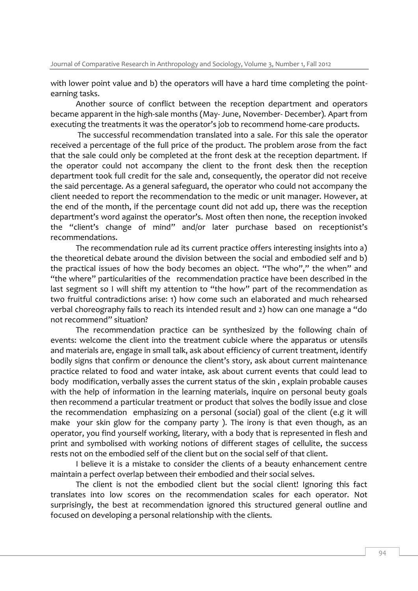with lower point value and b) the operators will have a hard time completing the pointearning tasks.

Another source of conflict between the reception department and operators became apparent in the high-sale months (May- June, November- December). Apart from executing the treatments it was the operator's job to recommend home-care products.

The successful recommendation translated into a sale. For this sale the operator received a percentage of the full price of the product. The problem arose from the fact that the sale could only be completed at the front desk at the reception department. If the operator could not accompany the client to the front desk then the reception department took full credit for the sale and, consequently, the operator did not receive the said percentage. As a general safeguard, the operator who could not accompany the client needed to report the recommendation to the medic or unit manager. However, at the end of the month, if the percentage count did not add up, there was the reception department's word against the operator's. Most often then none, the reception invoked the "client's change of mind" and/or later purchase based on receptionist's recommendations.

The recommendation rule ad its current practice offers interesting insights into a) the theoretical debate around the division between the social and embodied self and b) the practical issues of how the body becomes an object. "The who"," the when" and "the where" particularities of the recommendation practice have been described in the last segment so I will shift my attention to "the how" part of the recommendation as two fruitful contradictions arise: 1) how come such an elaborated and much rehearsed verbal choreography fails to reach its intended result and 2) how can one manage a "do not recommend" situation?

The recommendation practice can be synthesized by the following chain of events: welcome the client into the treatment cubicle where the apparatus or utensils and materials are, engage in small talk, ask about efficiency of current treatment, identify bodily signs that confirm or denounce the client's story, ask about current maintenance practice related to food and water intake, ask about current events that could lead to body modification, verbally asses the current status of the skin , explain probable causes with the help of information in the learning materials, inquire on personal beuty goals then recommend a particular treatment or product that solves the bodily issue and close the recommendation emphasizing on a personal (social) goal of the client (e.g it will make your skin glow for the company party ). The irony is that even though, as an operator, you find yourself working, literary, with a body that is represented in flesh and print and symbolised with working notions of different stages of cellulite, the success rests not on the embodied self of the client but on the social self of that client.

I believe it is a mistake to consider the clients of a beauty enhancement centre maintain a perfect overlap between their embodied and their social selves.

The client is not the embodied client but the social client! Ignoring this fact translates into low scores on the recommendation scales for each operator. Not surprisingly, the best at recommendation ignored this structured general outline and focused on developing a personal relationship with the clients.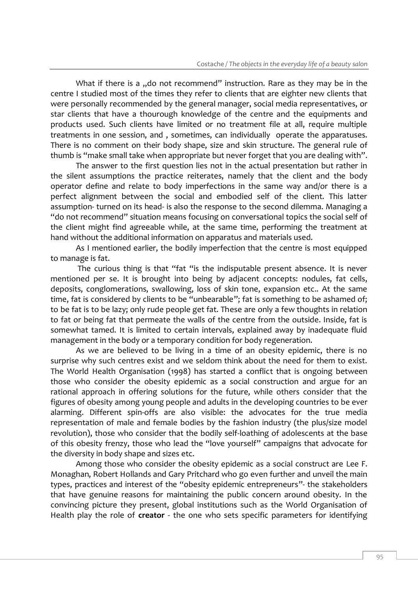What if there is a "do not recommend" instruction. Rare as they may be in the centre I studied most of the times they refer to clients that are eighter new clients that were personally recommended by the general manager, social media representatives, or star clients that have a thourough knowledge of the centre and the equipments and products used. Such clients have limited or no treatment file at all, require multiple treatments in one session, and , sometimes, can individually operate the apparatuses. There is no comment on their body shape, size and skin structure. The general rule of thumb is "make small take when appropriate but never forget that you are dealing with".

The answer to the first question lies not in the actual presentation but rather in the silent assumptions the practice reiterates, namely that the client and the body operator define and relate to body imperfections in the same way and/or there is a perfect alignment between the social and embodied self of the client. This latter assumption- turned on its head- is also the response to the second dilemma. Managing a "do not recommend" situation means focusing on conversational topics the social self of the client might find agreeable while, at the same time, performing the treatment at hand without the additional information on apparatus and materials used.

As I mentioned earlier, the bodily imperfection that the centre is most equipped to manage is fat.

The curious thing is that "fat "is the indisputable present absence. It is never mentioned per se. It is brought into being by adjacent concepts: nodules, fat cells, deposits, conglomerations, swallowing, loss of skin tone, expansion etc.. At the same time, fat is considered by clients to be "unbearable"; fat is something to be ashamed of; to be fat is to be lazy; only rude people get fat. These are only a few thoughts in relation to fat or being fat that permeate the walls of the centre from the outside. Inside, fat is somewhat tamed. It is limited to certain intervals, explained away by inadequate fluid management in the body or a temporary condition for body regeneration.

As we are believed to be living in a time of an obesity epidemic, there is no surprise why such centres exist and we seldom think about the need for them to exist. The World Health Organisation (1998) has started a conflict that is ongoing between those who consider the obesity epidemic as a social construction and argue for an rational approach in offering solutions for the future, while others consider that the figures of obesity among young people and adults in the developing countries to be ever alarming. Different spin-offs are also visible: the advocates for the true media representation of male and female bodies by the fashion industry (the plus/size model revolution), those who consider that the bodily self-loathing of adolescents at the base of this obesity frenzy, those who lead the "love yourself" campaigns that advocate for the diversity in body shape and sizes etc.

Among those who consider the obesity epidemic as a social construct are Lee F. Monaghan, Robert Hollands and Gary Pritchard who go even further and unveil the main types, practices and interest of the "obesity epidemic entrepreneurs"- the stakeholders that have genuine reasons for maintaining the public concern around obesity. In the convincing picture they present, global institutions such as the World Organisation of Health play the role of **creator** - the one who sets specific parameters for identifying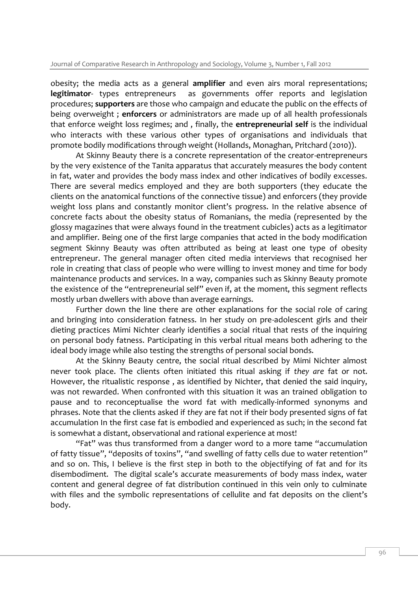obesity; the media acts as a general **amplifier** and even airs moral representations; **legitimator**- types entrepreneurs as governments offer reports and legislation procedures; **supporters** are those who campaign and educate the public on the effects of being overweight ; **enforcers** or administrators are made up of all health professionals that enforce weight loss regimes; and , finally, the **entrepreneurial self** is the individual who interacts with these various other types of organisations and individuals that promote bodily modifications through weight (Hollands, Monaghan, Pritchard (2010)).

At Skinny Beauty there is a concrete representation of the creator-entrepreneurs by the very existence of the Tanita apparatus that accurately measures the body content in fat, water and provides the body mass index and other indicatives of bodily excesses. There are several medics employed and they are both supporters (they educate the clients on the anatomical functions of the connective tissue) and enforcers (they provide weight loss plans and constantly monitor client's progress. In the relative absence of concrete facts about the obesity status of Romanians, the media (represented by the glossy magazines that were always found in the treatment cubicles) acts as a legitimator and amplifier. Being one of the first large companies that acted in the body modification segment Skinny Beauty was often attributed as being at least one type of obesity entrepreneur. The general manager often cited media interviews that recognised her role in creating that class of people who were willing to invest money and time for body maintenance products and services. In a way, companies such as Skinny Beauty promote the existence of the "entrepreneurial self" even if, at the moment, this segment reflects mostly urban dwellers with above than average earnings.

Further down the line there are other explanations for the social role of caring and bringing into consideration fatness. In her study on pre-adolescent girls and their dieting practices Mimi Nichter clearly identifies a social ritual that rests of the inquiring on personal body fatness. Participating in this verbal ritual means both adhering to the ideal body image while also testing the strengths of personal social bonds.

At the Skinny Beauty centre, the social ritual described by Mimi Nichter almost never took place. The clients often initiated this ritual asking if *they are* fat or not. However, the ritualistic response , as identified by Nichter, that denied the said inquiry, was not rewarded. When confronted with this situation it was an trained obligation to pause and to reconceptualise the word fat with medically-informed synonyms and phrases. Note that the clients asked if *they* are fat not if their body presented signs of fat accumulation In the first case fat is embodied and experienced as such; in the second fat is somewhat a distant, observational and rational experience at most!

"Fat" was thus transformed from a danger word to a more tame "accumulation of fatty tissue", "deposits of toxins", "and swelling of fatty cells due to water retention" and so on. This, I believe is the first step in both to the objectifying of fat and for its disembodiment. The digital scale's accurate measurements of body mass index, water content and general degree of fat distribution continued in this vein only to culminate with files and the symbolic representations of cellulite and fat deposits on the client's body.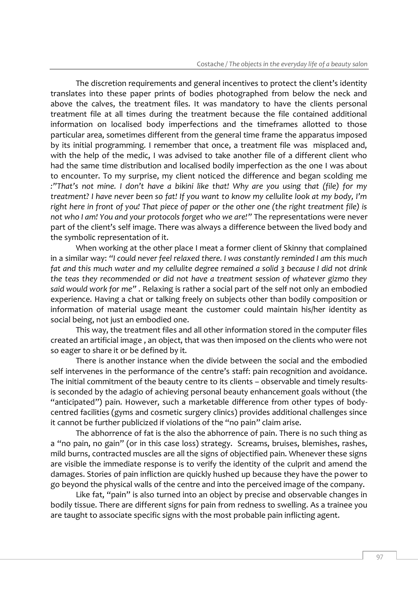The discretion requirements and general incentives to protect the client's identity translates into these paper prints of bodies photographed from below the neck and above the calves, the treatment files. It was mandatory to have the clients personal treatment file at all times during the treatment because the file contained additional information on localised body imperfections and the timeframes allotted to those particular area, sometimes different from the general time frame the apparatus imposed by its initial programming. I remember that once, a treatment file was misplaced and, with the help of the medic, I was advised to take another file of a different client who had the same time distribution and localised bodily imperfection as the one I was about to encounter. To my surprise, my client noticed the difference and began scolding me *:"That's not mine. I don't have a bikini like that! Why are you using that (file) for my treatment? I have never been so fat! If you want to know my cellulite look at my body, I'm right here in front of you! That piece of paper or the other one (the right treatment file) is not who I am! You and your protocols forget who we are!"* The representations were never part of the client's self image. There was always a difference between the lived body and the symbolic representation of it.

When working at the other place I meat a former client of Skinny that complained in a similar way: *"I could never feel relaxed there. I was constantly reminded I am this much fat and this much water and my cellulite degree remained a solid 3 because I did not drink the teas they recommended or did not have a treatment session of whatever gizmo they said would work for me"* . Relaxing is rather a social part of the self not only an embodied experience. Having a chat or talking freely on subjects other than bodily composition or information of material usage meant the customer could maintain his/her identity as social being, not just an embodied one.

This way, the treatment files and all other information stored in the computer files created an artificial image , an object, that was then imposed on the clients who were not so eager to share it or be defined by it.

There is another instance when the divide between the social and the embodied self intervenes in the performance of the centre's staff: pain recognition and avoidance. The initial commitment of the beauty centre to its clients – observable and timely resultsis seconded by the adagio of achieving personal beauty enhancement goals without (the "anticipated") pain. However, such a marketable difference from other types of bodycentred facilities (gyms and cosmetic surgery clinics) provides additional challenges since it cannot be further publicized if violations of the "no pain" claim arise.

The abhorrence of fat is the also the abhorrence of pain. There is no such thing as a "no pain, no gain" (or in this case loss) strategy. Screams, bruises, blemishes, rashes, mild burns, contracted muscles are all the signs of objectified pain. Whenever these signs are visible the immediate response is to verify the identity of the culprit and amend the damages. Stories of pain infliction are quickly hushed up because they have the power to go beyond the physical walls of the centre and into the perceived image of the company.

Like fat, "pain" is also turned into an object by precise and observable changes in bodily tissue. There are different signs for pain from redness to swelling. As a trainee you are taught to associate specific signs with the most probable pain inflicting agent.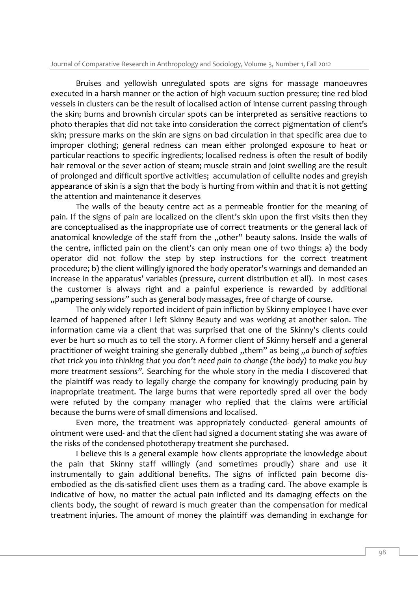Bruises and yellowish unregulated spots are signs for massage manoeuvres executed in a harsh manner or the action of high vacuum suction pressure; tine red blod vessels in clusters can be the result of localised action of intense current passing through the skin; burns and brownish circular spots can be interpreted as sensitive reactions to photo therapies that did not take into consideration the correct pigmentation of client's skin; pressure marks on the skin are signs on bad circulation in that specific area due to improper clothing; general redness can mean either prolonged exposure to heat or particular reactions to specific ingredients; localised redness is often the result of bodily hair removal or the sever action of steam; muscle strain and joint swelling are the result of prolonged and difficult sportive activities; accumulation of cellulite nodes and greyish appearance of skin is a sign that the body is hurting from within and that it is not getting the attention and maintenance it deserves

The walls of the beauty centre act as a permeable frontier for the meaning of pain. If the signs of pain are localized on the client's skin upon the first visits then they are conceptualised as the inappropriate use of correct treatments or the general lack of anatomical knowledge of the staff from the "other" beauty salons. Inside the walls of the centre, inflicted pain on the client's can only mean one of two things: a) the body operator did not follow the step by step instructions for the correct treatment procedure; b) the client willingly ignored the body operator's warnings and demanded an increase in the apparatus' variables (pressure, current distribution et all). In most cases the customer is always right and a painful experience is rewarded by additional "pampering sessions" such as general body massages, free of charge of course.

The only widely reported incident of pain infliction by Skinny employee I have ever learned of happened after I left Skinny Beauty and was working at another salon. The information came via a client that was surprised that one of the Skinny's clients could ever be hurt so much as to tell the story. A former client of Skinny herself and a general practitioner of weight training she generally dubbed "them" as being "a bunch of softies" *that trick you into thinking that you don't need pain to change (the body) to make you buy more treatment sessions".* Searching for the whole story in the media I discovered that the plaintiff was ready to legally charge the company for knowingly producing pain by inapropriate treatment. The large burns that were reportedly spred all over the body were refuted by the company manager who replied that the claims were artificial because the burns were of small dimensions and localised.

Even more, the treatment was appropriately conducted- general amounts of ointment were used- and that the client had signed a document stating she was aware of the risks of the condensed phototherapy treatment she purchased.

I believe this is a general example how clients appropriate the knowledge about the pain that Skinny staff willingly (and sometimes proudly) share and use it instrumentally to gain additional benefits. The signs of inflicted pain become disembodied as the dis-satisfied client uses them as a trading card. The above example is indicative of how, no matter the actual pain inflicted and its damaging effects on the clients body, the sought of reward is much greater than the compensation for medical treatment injuries. The amount of money the plaintiff was demanding in exchange for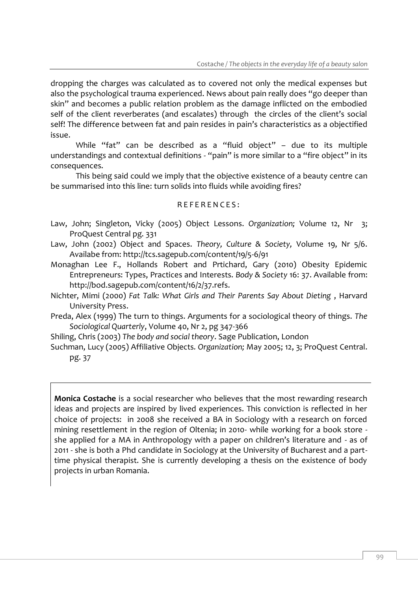dropping the charges was calculated as to covered not only the medical expenses but also the psychological trauma experienced. News about pain really does "go deeper than skin" and becomes a public relation problem as the damage inflicted on the embodied self of the client reverberates (and escalates) through the circles of the client's social self! The difference between fat and pain resides in pain's characteristics as a objectified issue.

While "fat" can be described as a "fluid object" – due to its multiple understandings and contextual definitions - "pain" is more similar to a "fire object" in its consequences.

This being said could we imply that the objective existence of a beauty centre can be summarised into this line: turn solids into fluids while avoiding fires?

#### REFERENCES:

- Law, John; Singleton, Vicky (2005) Object Lessons. *Organization;* Volume 12, Nr 3; ProQuest Central pg. 331
- Law, John (2002) Object and Spaces. *Theory, Culture & Society,* Volume 19, Nr 5/6. Availabe from: http://tcs.sagepub.com/content/19/5-6/91
- Monaghan Lee F., Hollands Robert and Prtichard, Gary (2010) Obesity Epidemic Entrepreneurs: Types, Practices and Interests. *Body & Society* 16: 37. Available from: [http://bod.sagepub.com/content/16/2/37.refs.](http://bod.sagepub.com/content/16/2/37.refs)
- Nichter, Mimi (2000) *Fat Talk: What Girls and Their Parents Say About Dieting* , Harvard University Press.
- Preda, Alex (1999) The turn to things. Arguments for a sociological theory of things. *The Sociological Quarterly*, Volume 40, Nr 2, pg 347-366
- Shiling, Chris (2003) *The body and social theory*. Sage Publication, London
- Suchman, Lucy (2005) Affiliative Objects*. Organization;* May 2005; 12, 3; ProQuest Central. pg. 37

**Monica Costache** is a social researcher who believes that the most rewarding research ideas and projects are inspired by lived experiences. This conviction is reflected in her choice of projects: in 2008 she received a BA in Sociology with a research on forced mining resettlement in the region of Oltenia; in 2010- while working for a book store she applied for a MA in Anthropology with a paper on children's literature and - as of 2011 - she is both a Phd candidate in Sociology at the University of Bucharest and a parttime physical therapist. She is currently developing a thesis on the existence of body projects in urban Romania.